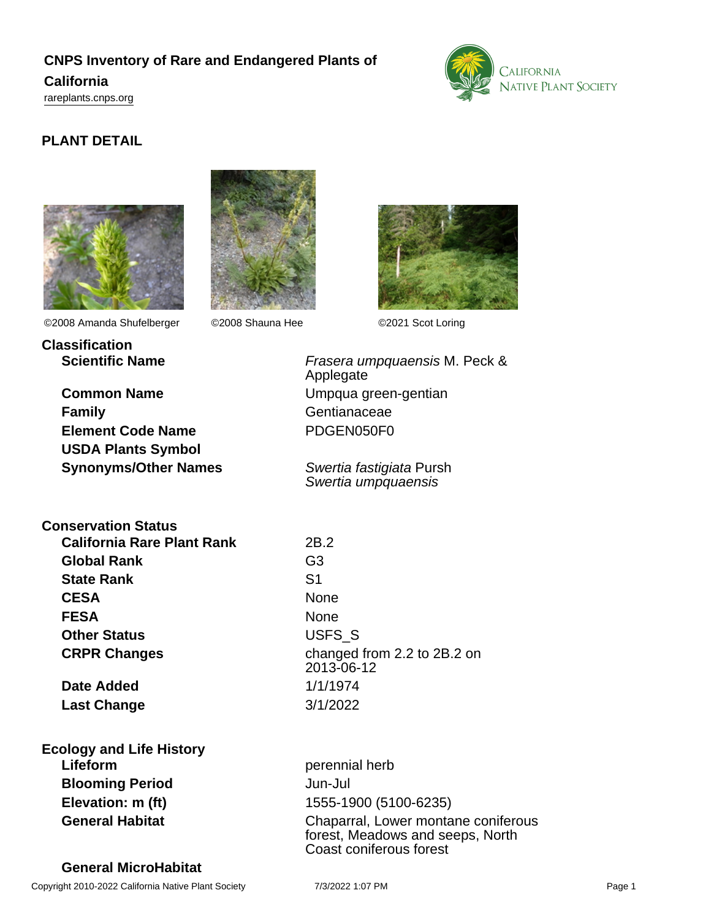# **CNPS Inventory of Rare and Endangered Plants of**

# **California**

<rareplants.cnps.org>



# **PLANT DETAIL**





©2008 Amanda Shufelberger ©2008 Shauna Hee ©2021 Scot Loring

**Classification**



**Common Name** Umpqua green-gentian **Family** Gentianaceae **Element Code Name** PDGEN050F0 **USDA Plants Symbol**

**Synonyms/Other Names** Swertia fastigiata Pursh

**Scientific Name** Frasera umpquaensis M. Peck & Applegate

Swertia umpquaensis

**Conservation Status**

**California Rare Plant Rank** 2B.2 **Global Rank** G3 **State Rank** S1 CESA None **FESA** None **Other Status** USFS S **CRPR Changes** changed from 2.2 to 2B.2 on

**Date Added** 1/1/1974 **Last Change** 3/1/2022

**Ecology and Life History Lifeform** perennial herb **Blooming Period** Jun-Jul

**General MicroHabitat**

2013-06-12

**Elevation: m (ft)** 1555-1900 (5100-6235) **General Habitat** Chaparral, Lower montane coniferous forest, Meadows and seeps, North Coast coniferous forest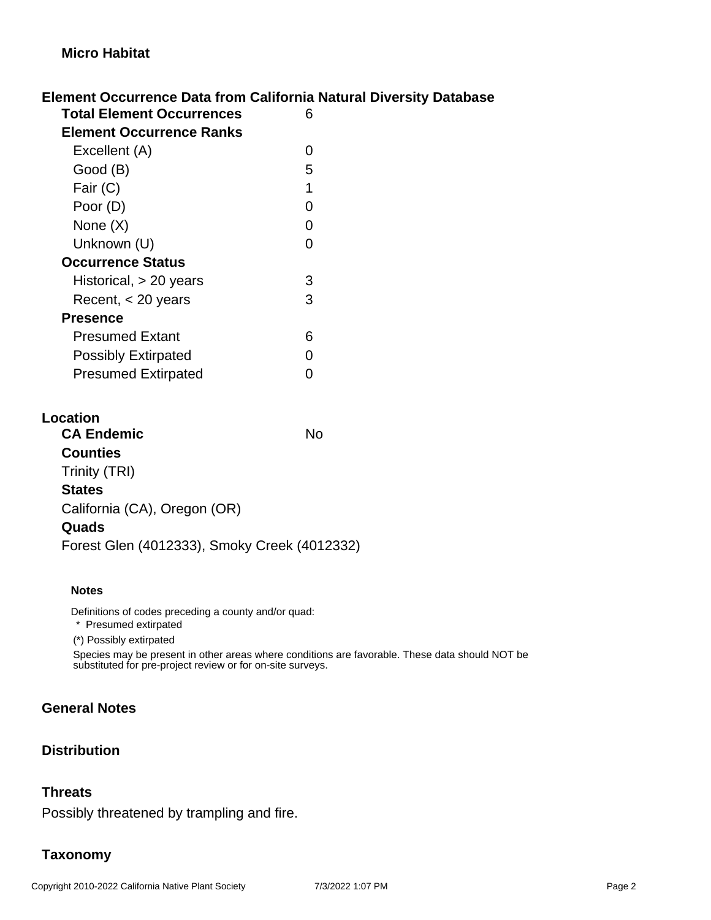### **Element Occurrence Data from California Natural Diversity Database**

| uuu 1 61 1 0 6<br>— сис н        |   |
|----------------------------------|---|
| <b>Total Element Occurrences</b> | 6 |
| <b>Element Occurrence Ranks</b>  |   |
| Excellent (A)                    | 0 |
| Good (B)                         | 5 |
| Fair (C)                         | 1 |
| Poor (D)                         | 0 |
| None $(X)$                       | 0 |
| Unknown (U)                      | ∩ |
| <b>Occurrence Status</b>         |   |
| Historical, $> 20$ years         | 3 |
| Recent, $<$ 20 years             | 3 |
| <b>Presence</b>                  |   |
| <b>Presumed Extant</b>           | 6 |
| <b>Possibly Extirpated</b>       | ∩ |
| <b>Presumed Extirpated</b>       |   |
|                                  |   |

#### **Location**

| <b>CA Endemic</b>                            | N٥ |
|----------------------------------------------|----|
| <b>Counties</b>                              |    |
| Trinity (TRI)                                |    |
| <b>States</b>                                |    |
| California (CA), Oregon (OR)                 |    |
| Quads                                        |    |
| Forest Glen (4012333), Smoky Creek (4012332) |    |

#### **Notes**

Definitions of codes preceding a county and/or quad:

\* Presumed extirpated

(\*) Possibly extirpated

Species may be present in other areas where conditions are favorable. These data should NOT be substituted for pre-project review or for on-site surveys.

# **General Notes**

## **Distribution**

#### **Threats**

Possibly threatened by trampling and fire.

## **Taxonomy**